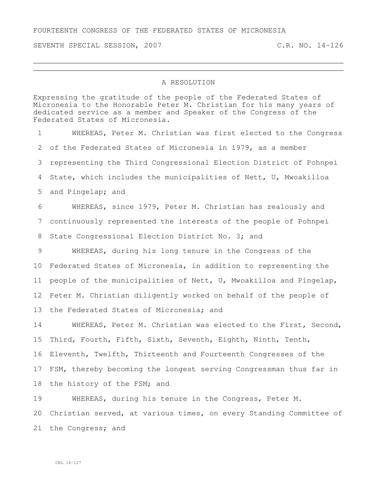## FOURTEENTH CONGRESS OF THE FEDERATED STATES OF MICRONESIA

SEVENTH SPECIAL SESSION, 2007 C.R. NO. 14-126

## A RESOLUTION

Expressing the gratitude of the people of the Federated States of Micronesia to the Honorable Peter M. Christian for his many years of dedicated service as a member and Speaker of the Congress of the Federated States of Micronesia.

 WHEREAS, Peter M. Christian was first elected to the Congress of the Federated States of Micronesia in 1979, as a member representing the Third Congressional Election District of Pohnpei State, which includes the municipalities of Nett, U, Mwoakilloa and Pingelap; and WHEREAS, since 1979, Peter M. Christian has zealously and continuously represented the interests of the people of Pohnpei State Congressional Election District No. 3; and WHEREAS, during his long tenure in the Congress of the

 Federated States of Micronesia, in addition to representing the people of the municipalities of Nett, U, Mwoakilloa and Pingelap, Peter M. Christian diligently worked on behalf of the people of 13 the Federated States of Micronesia; and

 WHEREAS, Peter M. Christian was elected to the First, Second, Third, Fourth, Fifth, Sixth, Seventh, Eighth, Ninth, Tenth, Eleventh, Twelfth, Thirteenth and Fourteenth Congresses of the FSM, thereby becoming the longest serving Congressman thus far in 18 the history of the FSM; and

 WHEREAS, during his tenure in the Congress, Peter M. Christian served, at various times, on every Standing Committee of the Congress; and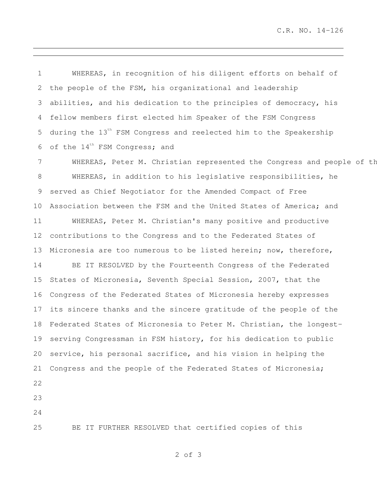C.R. NO. 14-126

 WHEREAS, in recognition of his diligent efforts on behalf of the people of the FSM, his organizational and leadership abilities, and his dedication to the principles of democracy, his fellow members first elected him Speaker of the FSM Congress 5 during the 13<sup>th</sup> FSM Congress and reelected him to the Speakership 6 of the  $14^{\text{th}}$  FSM Congress; and

7 WHEREAS, Peter M. Christian represented the Congress and people of the WHEREAS, in addition to his legislative responsibilities, he served as Chief Negotiator for the Amended Compact of Free Association between the FSM and the United States of America; and WHEREAS, Peter M. Christian's many positive and productive contributions to the Congress and to the Federated States of Micronesia are too numerous to be listed herein; now, therefore, BE IT RESOLVED by the Fourteenth Congress of the Federated States of Micronesia, Seventh Special Session, 2007, that the Congress of the Federated States of Micronesia hereby expresses its sincere thanks and the sincere gratitude of the people of the Federated States of Micronesia to Peter M. Christian, the longest- serving Congressman in FSM history, for his dedication to public service, his personal sacrifice, and his vision in helping the Congress and the people of the Federated States of Micronesia; 

- 
- 

BE IT FURTHER RESOLVED that certified copies of this

of 3